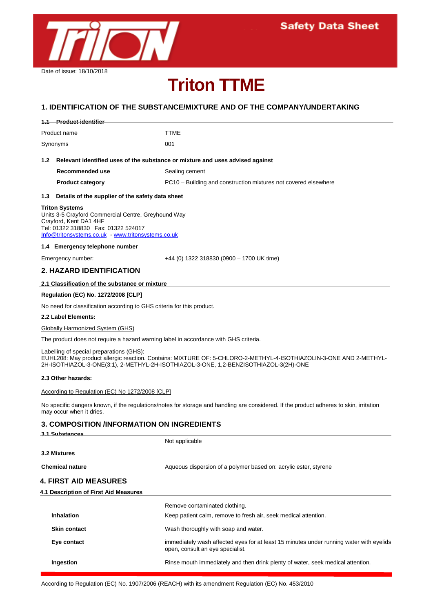

# **Triton TTME**

## **1. IDENTIFICATION OF THE SUBSTANCE/MIXTURE AND OF THE COMPANY/UNDERTAKING**

|     | 1.1 Product identifier                                                                                                                                                                             |                                                                                                                                                                                                            |
|-----|----------------------------------------------------------------------------------------------------------------------------------------------------------------------------------------------------|------------------------------------------------------------------------------------------------------------------------------------------------------------------------------------------------------------|
|     | Product name                                                                                                                                                                                       | <b>TTME</b>                                                                                                                                                                                                |
|     | Synonyms                                                                                                                                                                                           | 001                                                                                                                                                                                                        |
| 1.2 | Relevant identified uses of the substance or mixture and uses advised against                                                                                                                      |                                                                                                                                                                                                            |
|     | Recommended use                                                                                                                                                                                    | Sealing cement                                                                                                                                                                                             |
|     | <b>Product category</b>                                                                                                                                                                            | PC10 – Building and construction mixtures not covered elsewhere                                                                                                                                            |
| 1.3 | Details of the supplier of the safety data sheet                                                                                                                                                   |                                                                                                                                                                                                            |
|     | <b>Triton Systems</b><br>Units 3-5 Crayford Commercial Centre, Greyhound Way<br>Crayford, Kent DA1 4HF<br>Tel: 01322 318830  Fax: 01322 524017<br>Info@tritonsystems.co.uk www.tritonsystems.co.uk |                                                                                                                                                                                                            |
|     | 1.4 Emergency telephone number                                                                                                                                                                     |                                                                                                                                                                                                            |
|     | Emergency number:                                                                                                                                                                                  | $+44$ (0) 1322 318830 (0900 - 1700 UK time)                                                                                                                                                                |
|     | <b>2. HAZARD IDENTIFICATION</b>                                                                                                                                                                    |                                                                                                                                                                                                            |
|     | 2.1 Classification of the substance or mixture                                                                                                                                                     |                                                                                                                                                                                                            |
|     | Regulation (EC) No. 1272/2008 [CLP]                                                                                                                                                                |                                                                                                                                                                                                            |
|     | No need for classification according to GHS criteria for this product.                                                                                                                             |                                                                                                                                                                                                            |
|     | 2.2 Label Elements:                                                                                                                                                                                |                                                                                                                                                                                                            |
|     | Globally Harmonized System (GHS)                                                                                                                                                                   |                                                                                                                                                                                                            |
|     |                                                                                                                                                                                                    | The product does not require a hazard warning label in accordance with GHS criteria.                                                                                                                       |
|     | Labelling of special preparations (GHS):                                                                                                                                                           | EUHL208: May product allergic reaction. Contains: MIXTURE OF: 5-CHLORO-2-METHYL-4-ISOTHIAZOLIN-3-ONE AND 2-METHYL-<br>2H-ISOTHIAZOL-3-ONE(3:1), 2-METHYL-2H-ISOTHIAZOL-3-ONE, 1,2-BENZISOTHIAZOL-3(2H)-ONE |
|     | 2.3 Other hazards:                                                                                                                                                                                 |                                                                                                                                                                                                            |
|     | According to Regulation (EC) No 1272/2008 [CLP]                                                                                                                                                    |                                                                                                                                                                                                            |
|     | may occur when it dries.                                                                                                                                                                           | No specific dangers known, if the regulations/notes for storage and handling are considered. If the product adheres to skin, irritation                                                                    |
|     | <b>3. COMPOSITION /INFORMATION ON INGREDIENTS</b>                                                                                                                                                  |                                                                                                                                                                                                            |
|     | 3.1 Substances                                                                                                                                                                                     |                                                                                                                                                                                                            |
|     |                                                                                                                                                                                                    | Not applicable                                                                                                                                                                                             |
|     | 3.2 Mixtures                                                                                                                                                                                       |                                                                                                                                                                                                            |
|     | <b>Chemical nature</b>                                                                                                                                                                             | Aqueous dispersion of a polymer based on: acrylic ester, styrene                                                                                                                                           |
|     | 4. FIRST AID MEASURES                                                                                                                                                                              |                                                                                                                                                                                                            |
|     | 4.1 Description of First Aid Measures                                                                                                                                                              |                                                                                                                                                                                                            |
|     |                                                                                                                                                                                                    | Remove contaminated clothing.                                                                                                                                                                              |
|     | Inhalation                                                                                                                                                                                         | Keep patient calm, remove to fresh air, seek medical attention.                                                                                                                                            |

**Eye contact** immediately wash affected eyes for at least 15 minutes under running water with eyelids open, consult an eye specialist.

**Ingestion** Rinse mouth immediately and then drink plenty of water, seek medical attention.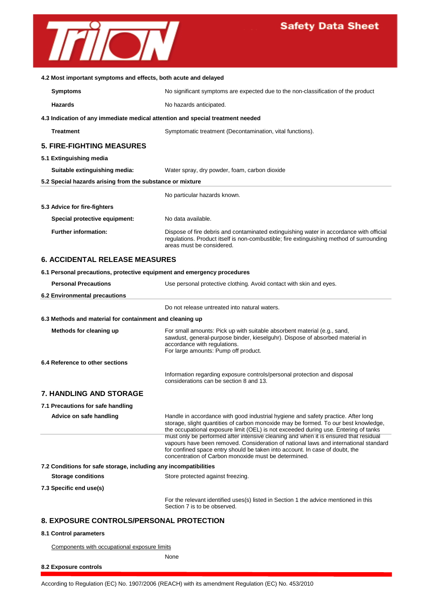

| <b>Symptoms</b><br>No significant symptoms are expected due to the non-classification of the product<br><b>Hazards</b><br>No hazards anticipated.<br>4.3 Indication of any immediate medical attention and special treatment needed<br>Treatment<br>Symptomatic treatment (Decontamination, vital functions).<br>Suitable extinguishing media:<br>Water spray, dry powder, foam, carbon dioxide<br>5.2 Special hazards arising from the substance or mixture<br>No particular hazards known.<br>Special protective equipment:<br>No data available.<br><b>Further information:</b><br>Dispose of fire debris and contaminated extinguishing water in accordance with official<br>regulations. Product itself is non-combustible; fire extinguishing method of surrounding<br>areas must be considered.<br><b>6. ACCIDENTAL RELEASE MEASURES</b><br>6.1 Personal precautions, protective equipment and emergency procedures<br><b>Personal Precautions</b><br>Use personal protective clothing. Avoid contact with skin and eyes.<br>Do not release untreated into natural waters.<br>6.3 Methods and material for containment and cleaning up<br>Methods for cleaning up<br>For small amounts: Pick up with suitable absorbent material (e.g., sand,<br>sawdust, general-purpose binder, kieselguhr). Dispose of absorbed material in<br>accordance with regulations.<br>For large amounts: Pump off product.<br>Information regarding exposure controls/personal protection and disposal<br>considerations can be section 8 and 13.<br>Advice on safe handling<br>Handle in accordance with good industrial hygiene and safety practice. After long<br>storage, slight quantities of carbon monoxide may be formed. To our best knowledge,<br>the occupational exposure limit (OEL) is not exceeded during use. Entering of tanks<br>must only be performed after intensive cleaning and when it is ensured that residual<br>vapours have been removed. Consideration of national laws and international standard<br>for confined space entry should be taken into account. In case of doubt, the<br>concentration of Carbon monoxide must be determined.<br>7.2 Conditions for safe storage, including any incompatibilities<br><b>Storage conditions</b><br>Store protected against freezing.<br>For the relevant identified uses(s) listed in Section 1 the advice mentioned in this<br>Section 7 is to be observed. |                                                                 |  |  |  |
|--------------------------------------------------------------------------------------------------------------------------------------------------------------------------------------------------------------------------------------------------------------------------------------------------------------------------------------------------------------------------------------------------------------------------------------------------------------------------------------------------------------------------------------------------------------------------------------------------------------------------------------------------------------------------------------------------------------------------------------------------------------------------------------------------------------------------------------------------------------------------------------------------------------------------------------------------------------------------------------------------------------------------------------------------------------------------------------------------------------------------------------------------------------------------------------------------------------------------------------------------------------------------------------------------------------------------------------------------------------------------------------------------------------------------------------------------------------------------------------------------------------------------------------------------------------------------------------------------------------------------------------------------------------------------------------------------------------------------------------------------------------------------------------------------------------------------------------------------------------------------------------------------------------------------------------------------------------------------------------------------------------------------------------------------------------------------------------------------------------------------------------------------------------------------------------------------------------------------------------------------------------------------------------------------------------------------------------------------------------------------------------------------------------------------|-----------------------------------------------------------------|--|--|--|
|                                                                                                                                                                                                                                                                                                                                                                                                                                                                                                                                                                                                                                                                                                                                                                                                                                                                                                                                                                                                                                                                                                                                                                                                                                                                                                                                                                                                                                                                                                                                                                                                                                                                                                                                                                                                                                                                                                                                                                                                                                                                                                                                                                                                                                                                                                                                                                                                                          | 4.2 Most important symptoms and effects, both acute and delayed |  |  |  |
|                                                                                                                                                                                                                                                                                                                                                                                                                                                                                                                                                                                                                                                                                                                                                                                                                                                                                                                                                                                                                                                                                                                                                                                                                                                                                                                                                                                                                                                                                                                                                                                                                                                                                                                                                                                                                                                                                                                                                                                                                                                                                                                                                                                                                                                                                                                                                                                                                          |                                                                 |  |  |  |
|                                                                                                                                                                                                                                                                                                                                                                                                                                                                                                                                                                                                                                                                                                                                                                                                                                                                                                                                                                                                                                                                                                                                                                                                                                                                                                                                                                                                                                                                                                                                                                                                                                                                                                                                                                                                                                                                                                                                                                                                                                                                                                                                                                                                                                                                                                                                                                                                                          |                                                                 |  |  |  |
|                                                                                                                                                                                                                                                                                                                                                                                                                                                                                                                                                                                                                                                                                                                                                                                                                                                                                                                                                                                                                                                                                                                                                                                                                                                                                                                                                                                                                                                                                                                                                                                                                                                                                                                                                                                                                                                                                                                                                                                                                                                                                                                                                                                                                                                                                                                                                                                                                          |                                                                 |  |  |  |
|                                                                                                                                                                                                                                                                                                                                                                                                                                                                                                                                                                                                                                                                                                                                                                                                                                                                                                                                                                                                                                                                                                                                                                                                                                                                                                                                                                                                                                                                                                                                                                                                                                                                                                                                                                                                                                                                                                                                                                                                                                                                                                                                                                                                                                                                                                                                                                                                                          |                                                                 |  |  |  |
|                                                                                                                                                                                                                                                                                                                                                                                                                                                                                                                                                                                                                                                                                                                                                                                                                                                                                                                                                                                                                                                                                                                                                                                                                                                                                                                                                                                                                                                                                                                                                                                                                                                                                                                                                                                                                                                                                                                                                                                                                                                                                                                                                                                                                                                                                                                                                                                                                          | <b>5. FIRE-FIGHTING MEASURES</b>                                |  |  |  |
|                                                                                                                                                                                                                                                                                                                                                                                                                                                                                                                                                                                                                                                                                                                                                                                                                                                                                                                                                                                                                                                                                                                                                                                                                                                                                                                                                                                                                                                                                                                                                                                                                                                                                                                                                                                                                                                                                                                                                                                                                                                                                                                                                                                                                                                                                                                                                                                                                          | 5.1 Extinguishing media                                         |  |  |  |
|                                                                                                                                                                                                                                                                                                                                                                                                                                                                                                                                                                                                                                                                                                                                                                                                                                                                                                                                                                                                                                                                                                                                                                                                                                                                                                                                                                                                                                                                                                                                                                                                                                                                                                                                                                                                                                                                                                                                                                                                                                                                                                                                                                                                                                                                                                                                                                                                                          |                                                                 |  |  |  |
|                                                                                                                                                                                                                                                                                                                                                                                                                                                                                                                                                                                                                                                                                                                                                                                                                                                                                                                                                                                                                                                                                                                                                                                                                                                                                                                                                                                                                                                                                                                                                                                                                                                                                                                                                                                                                                                                                                                                                                                                                                                                                                                                                                                                                                                                                                                                                                                                                          |                                                                 |  |  |  |
|                                                                                                                                                                                                                                                                                                                                                                                                                                                                                                                                                                                                                                                                                                                                                                                                                                                                                                                                                                                                                                                                                                                                                                                                                                                                                                                                                                                                                                                                                                                                                                                                                                                                                                                                                                                                                                                                                                                                                                                                                                                                                                                                                                                                                                                                                                                                                                                                                          |                                                                 |  |  |  |
|                                                                                                                                                                                                                                                                                                                                                                                                                                                                                                                                                                                                                                                                                                                                                                                                                                                                                                                                                                                                                                                                                                                                                                                                                                                                                                                                                                                                                                                                                                                                                                                                                                                                                                                                                                                                                                                                                                                                                                                                                                                                                                                                                                                                                                                                                                                                                                                                                          | 5.3 Advice for fire-fighters                                    |  |  |  |
|                                                                                                                                                                                                                                                                                                                                                                                                                                                                                                                                                                                                                                                                                                                                                                                                                                                                                                                                                                                                                                                                                                                                                                                                                                                                                                                                                                                                                                                                                                                                                                                                                                                                                                                                                                                                                                                                                                                                                                                                                                                                                                                                                                                                                                                                                                                                                                                                                          |                                                                 |  |  |  |
|                                                                                                                                                                                                                                                                                                                                                                                                                                                                                                                                                                                                                                                                                                                                                                                                                                                                                                                                                                                                                                                                                                                                                                                                                                                                                                                                                                                                                                                                                                                                                                                                                                                                                                                                                                                                                                                                                                                                                                                                                                                                                                                                                                                                                                                                                                                                                                                                                          |                                                                 |  |  |  |
|                                                                                                                                                                                                                                                                                                                                                                                                                                                                                                                                                                                                                                                                                                                                                                                                                                                                                                                                                                                                                                                                                                                                                                                                                                                                                                                                                                                                                                                                                                                                                                                                                                                                                                                                                                                                                                                                                                                                                                                                                                                                                                                                                                                                                                                                                                                                                                                                                          |                                                                 |  |  |  |
|                                                                                                                                                                                                                                                                                                                                                                                                                                                                                                                                                                                                                                                                                                                                                                                                                                                                                                                                                                                                                                                                                                                                                                                                                                                                                                                                                                                                                                                                                                                                                                                                                                                                                                                                                                                                                                                                                                                                                                                                                                                                                                                                                                                                                                                                                                                                                                                                                          |                                                                 |  |  |  |
|                                                                                                                                                                                                                                                                                                                                                                                                                                                                                                                                                                                                                                                                                                                                                                                                                                                                                                                                                                                                                                                                                                                                                                                                                                                                                                                                                                                                                                                                                                                                                                                                                                                                                                                                                                                                                                                                                                                                                                                                                                                                                                                                                                                                                                                                                                                                                                                                                          |                                                                 |  |  |  |
|                                                                                                                                                                                                                                                                                                                                                                                                                                                                                                                                                                                                                                                                                                                                                                                                                                                                                                                                                                                                                                                                                                                                                                                                                                                                                                                                                                                                                                                                                                                                                                                                                                                                                                                                                                                                                                                                                                                                                                                                                                                                                                                                                                                                                                                                                                                                                                                                                          | 6.2 Environmental precautions                                   |  |  |  |
|                                                                                                                                                                                                                                                                                                                                                                                                                                                                                                                                                                                                                                                                                                                                                                                                                                                                                                                                                                                                                                                                                                                                                                                                                                                                                                                                                                                                                                                                                                                                                                                                                                                                                                                                                                                                                                                                                                                                                                                                                                                                                                                                                                                                                                                                                                                                                                                                                          |                                                                 |  |  |  |
|                                                                                                                                                                                                                                                                                                                                                                                                                                                                                                                                                                                                                                                                                                                                                                                                                                                                                                                                                                                                                                                                                                                                                                                                                                                                                                                                                                                                                                                                                                                                                                                                                                                                                                                                                                                                                                                                                                                                                                                                                                                                                                                                                                                                                                                                                                                                                                                                                          |                                                                 |  |  |  |
|                                                                                                                                                                                                                                                                                                                                                                                                                                                                                                                                                                                                                                                                                                                                                                                                                                                                                                                                                                                                                                                                                                                                                                                                                                                                                                                                                                                                                                                                                                                                                                                                                                                                                                                                                                                                                                                                                                                                                                                                                                                                                                                                                                                                                                                                                                                                                                                                                          |                                                                 |  |  |  |
|                                                                                                                                                                                                                                                                                                                                                                                                                                                                                                                                                                                                                                                                                                                                                                                                                                                                                                                                                                                                                                                                                                                                                                                                                                                                                                                                                                                                                                                                                                                                                                                                                                                                                                                                                                                                                                                                                                                                                                                                                                                                                                                                                                                                                                                                                                                                                                                                                          | 6.4 Reference to other sections                                 |  |  |  |
|                                                                                                                                                                                                                                                                                                                                                                                                                                                                                                                                                                                                                                                                                                                                                                                                                                                                                                                                                                                                                                                                                                                                                                                                                                                                                                                                                                                                                                                                                                                                                                                                                                                                                                                                                                                                                                                                                                                                                                                                                                                                                                                                                                                                                                                                                                                                                                                                                          |                                                                 |  |  |  |
|                                                                                                                                                                                                                                                                                                                                                                                                                                                                                                                                                                                                                                                                                                                                                                                                                                                                                                                                                                                                                                                                                                                                                                                                                                                                                                                                                                                                                                                                                                                                                                                                                                                                                                                                                                                                                                                                                                                                                                                                                                                                                                                                                                                                                                                                                                                                                                                                                          | 7. HANDLING AND STORAGE                                         |  |  |  |
|                                                                                                                                                                                                                                                                                                                                                                                                                                                                                                                                                                                                                                                                                                                                                                                                                                                                                                                                                                                                                                                                                                                                                                                                                                                                                                                                                                                                                                                                                                                                                                                                                                                                                                                                                                                                                                                                                                                                                                                                                                                                                                                                                                                                                                                                                                                                                                                                                          | 7.1 Precautions for safe handling                               |  |  |  |
|                                                                                                                                                                                                                                                                                                                                                                                                                                                                                                                                                                                                                                                                                                                                                                                                                                                                                                                                                                                                                                                                                                                                                                                                                                                                                                                                                                                                                                                                                                                                                                                                                                                                                                                                                                                                                                                                                                                                                                                                                                                                                                                                                                                                                                                                                                                                                                                                                          |                                                                 |  |  |  |
|                                                                                                                                                                                                                                                                                                                                                                                                                                                                                                                                                                                                                                                                                                                                                                                                                                                                                                                                                                                                                                                                                                                                                                                                                                                                                                                                                                                                                                                                                                                                                                                                                                                                                                                                                                                                                                                                                                                                                                                                                                                                                                                                                                                                                                                                                                                                                                                                                          |                                                                 |  |  |  |
|                                                                                                                                                                                                                                                                                                                                                                                                                                                                                                                                                                                                                                                                                                                                                                                                                                                                                                                                                                                                                                                                                                                                                                                                                                                                                                                                                                                                                                                                                                                                                                                                                                                                                                                                                                                                                                                                                                                                                                                                                                                                                                                                                                                                                                                                                                                                                                                                                          |                                                                 |  |  |  |
|                                                                                                                                                                                                                                                                                                                                                                                                                                                                                                                                                                                                                                                                                                                                                                                                                                                                                                                                                                                                                                                                                                                                                                                                                                                                                                                                                                                                                                                                                                                                                                                                                                                                                                                                                                                                                                                                                                                                                                                                                                                                                                                                                                                                                                                                                                                                                                                                                          |                                                                 |  |  |  |
|                                                                                                                                                                                                                                                                                                                                                                                                                                                                                                                                                                                                                                                                                                                                                                                                                                                                                                                                                                                                                                                                                                                                                                                                                                                                                                                                                                                                                                                                                                                                                                                                                                                                                                                                                                                                                                                                                                                                                                                                                                                                                                                                                                                                                                                                                                                                                                                                                          | 7.3 Specific end use(s)                                         |  |  |  |
|                                                                                                                                                                                                                                                                                                                                                                                                                                                                                                                                                                                                                                                                                                                                                                                                                                                                                                                                                                                                                                                                                                                                                                                                                                                                                                                                                                                                                                                                                                                                                                                                                                                                                                                                                                                                                                                                                                                                                                                                                                                                                                                                                                                                                                                                                                                                                                                                                          |                                                                 |  |  |  |

# **8. EXPOSURE CONTROLS/PERSONAL PROTECTION**

## **8.1 Control parameters**

Components with occupational exposure limits

None

**8.2 Exposure controls**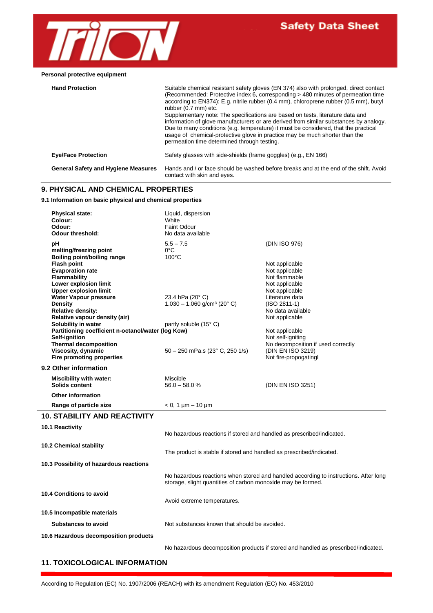

# **Personal protective equipment**

| <b>Hand Protection</b>                     | Suitable chemical resistant safety gloves (EN 374) also with prolonged, direct contact<br>(Recommended: Protective index 6, corresponding > 480 minutes of permeation time<br>according to EN374): E.g. nitrile rubber (0.4 mm), chloroprene rubber (0.5 mm), butyl<br>rubber (0.7 mm) etc.<br>Supplementary note: The specifications are based on tests, literature data and<br>information of glove manufacturers or are derived from similar substances by analogy.<br>Due to many conditions (e.g. temperature) it must be considered, that the practical<br>usage of chemical-protective glove in practice may be much shorter than the<br>permeation time determined through testing. |
|--------------------------------------------|---------------------------------------------------------------------------------------------------------------------------------------------------------------------------------------------------------------------------------------------------------------------------------------------------------------------------------------------------------------------------------------------------------------------------------------------------------------------------------------------------------------------------------------------------------------------------------------------------------------------------------------------------------------------------------------------|
| <b>Eye/Face Protection</b>                 | Safety glasses with side-shields (frame goggles) (e.g., EN 166)                                                                                                                                                                                                                                                                                                                                                                                                                                                                                                                                                                                                                             |
| <b>General Safety and Hygiene Measures</b> | Hands and / or face should be washed before breaks and at the end of the shift. Avoid<br>contact with skin and eyes.                                                                                                                                                                                                                                                                                                                                                                                                                                                                                                                                                                        |

## **9. PHYSICAL AND CHEMICAL PROPERTIES**

**9.1 Information on basic physical and chemical properties**

| <b>Physical state:</b><br>Colour:<br>Odour:<br>Odour threshold:           | Liquid, dispersion<br>White<br><b>Faint Odour</b><br>No data available                                                                               |                                                                                    |
|---------------------------------------------------------------------------|------------------------------------------------------------------------------------------------------------------------------------------------------|------------------------------------------------------------------------------------|
| pН<br>melting/freezing point<br>Boiling point/boiling range               | $5.5 - 7.5$<br>$0^{\circ}$ C<br>$100^{\circ}$ C                                                                                                      | (DIN ISO 976)                                                                      |
| <b>Flash point</b>                                                        |                                                                                                                                                      | Not applicable                                                                     |
| <b>Evaporation rate</b><br>Flammability                                   |                                                                                                                                                      | Not applicable<br>Not flammable                                                    |
| Lower explosion limit                                                     |                                                                                                                                                      | Not applicable                                                                     |
| <b>Upper explosion limit</b>                                              |                                                                                                                                                      | Not applicable                                                                     |
| <b>Water Vapour pressure</b><br><b>Density</b>                            | 23.4 hPa (20° C)<br>$1.030 - 1.060$ g/cm <sup>3</sup> (20° C)                                                                                        | Literature data<br>$(ISO 2811-1)$                                                  |
| Relative density:                                                         |                                                                                                                                                      | No data available                                                                  |
| Relative vapour density (air)                                             |                                                                                                                                                      | Not applicable                                                                     |
| Solubility in water<br>Partitioning coefficient n-octanol/water (log Kow) | partly soluble (15°C)                                                                                                                                | Not applicable                                                                     |
| Self-ignition                                                             |                                                                                                                                                      | Not self-igniting                                                                  |
| <b>Thermal decomposition</b>                                              |                                                                                                                                                      | No decomposition if used correctly                                                 |
| Viscosity, dynamic<br><b>Fire promoting properties</b>                    | $50 - 250$ mPa.s (23° C, 250 1/s)                                                                                                                    | (DIN EN ISO 3219)<br>Not fire-propogatingl                                         |
| 9.2 Other information                                                     |                                                                                                                                                      |                                                                                    |
| <b>Miscibility with water:</b>                                            | Miscible                                                                                                                                             |                                                                                    |
| Solids content                                                            | $56.0 - 58.0 %$                                                                                                                                      | (DIN EN ISO 3251)                                                                  |
| <b>Other information</b>                                                  |                                                                                                                                                      |                                                                                    |
| Range of particle size                                                    | $< 0, 1 \mu m - 10 \mu m$                                                                                                                            |                                                                                    |
| <b>10. STABILITY AND REACTIVITY</b>                                       |                                                                                                                                                      |                                                                                    |
| 10.1 Reactivity                                                           | No hazardous reactions if stored and handled as prescribed/indicated.                                                                                |                                                                                    |
| 10.2 Chemical stability                                                   | The product is stable if stored and handled as prescribed/indicated.                                                                                 |                                                                                    |
| 10.3 Possibility of hazardous reactions                                   |                                                                                                                                                      |                                                                                    |
|                                                                           | No hazardous reactions when stored and handled according to instructions. After long<br>storage, slight quantities of carbon monoxide may be formed. |                                                                                    |
| 10.4 Conditions to avoid                                                  | Avoid extreme temperatures.                                                                                                                          |                                                                                    |
| 10.5 Incompatible materials                                               |                                                                                                                                                      |                                                                                    |
| <b>Substances to avoid</b>                                                | Not substances known that should be avoided.                                                                                                         |                                                                                    |
| 10.6 Hazardous decomposition products                                     |                                                                                                                                                      |                                                                                    |
|                                                                           |                                                                                                                                                      | No hazardous decomposition products if stored and handled as prescribed/indicated. |

# **11. TOXICOLOGICAL INFORMATION**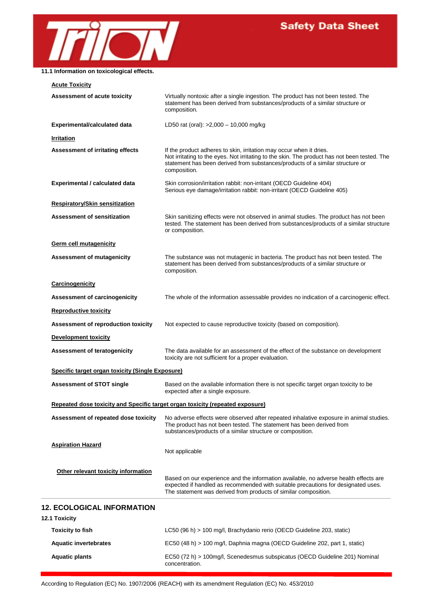

**11.1 Information on toxicological effects.**

| <b>Acute Toxicity</b>                                                         |                                                                                                                                                                                                                                                                      |
|-------------------------------------------------------------------------------|----------------------------------------------------------------------------------------------------------------------------------------------------------------------------------------------------------------------------------------------------------------------|
| Assessment of acute toxicity                                                  | Virtually nontoxic after a single ingestion. The product has not been tested. The<br>statement has been derived from substances/products of a similar structure or<br>composition.                                                                                   |
| <b>Experimental/calculated data</b>                                           | LD50 rat (oral): >2,000 - 10,000 mg/kg                                                                                                                                                                                                                               |
| Irritation                                                                    |                                                                                                                                                                                                                                                                      |
| <b>Assessment of irritating effects</b>                                       | If the product adheres to skin, irritation may occur when it dries.<br>Not irritating to the eyes. Not irritating to the skin. The product has not been tested. The<br>statement has been derived from substances/products of a similar structure or<br>composition. |
| <b>Experimental / calculated data</b>                                         | Skin corrosion/irritation rabbit: non-irritant (OECD Guideline 404)<br>Serious eye damage/irritation rabbit: non-irritant (OECD Guideline 405)                                                                                                                       |
| <b>Respiratory/Skin sensitization</b>                                         |                                                                                                                                                                                                                                                                      |
| <b>Assessment of sensitization</b>                                            | Skin sanitizing effects were not observed in animal studies. The product has not been<br>tested. The statement has been derived from substances/products of a similar structure<br>or composition.                                                                   |
| <b>Germ cell mutagenicity</b>                                                 |                                                                                                                                                                                                                                                                      |
| <b>Assessment of mutagenicity</b>                                             | The substance was not mutagenic in bacteria. The product has not been tested. The<br>statement has been derived from substances/products of a similar structure or<br>composition.                                                                                   |
| Carcinogenicity                                                               |                                                                                                                                                                                                                                                                      |
| <b>Assessment of carcinogenicity</b>                                          | The whole of the information assessable provides no indication of a carcinogenic effect.                                                                                                                                                                             |
| <b>Reproductive toxicity</b>                                                  |                                                                                                                                                                                                                                                                      |
| Assessment of reproduction toxicity                                           | Not expected to cause reproductive toxicity (based on composition).                                                                                                                                                                                                  |
| <b>Development toxicity</b>                                                   |                                                                                                                                                                                                                                                                      |
| <b>Assessment of teratogenicity</b>                                           | The data available for an assessment of the effect of the substance on development<br>toxicity are not sufficient for a proper evaluation.                                                                                                                           |
| Specific target organ toxicity (Single Exposure)                              |                                                                                                                                                                                                                                                                      |
| <b>Assessment of STOT single</b>                                              | Based on the available information there is not specific target organ toxicity to be<br>expected after a single exposure.                                                                                                                                            |
| Repeated dose toxicity and Specific target organ toxicity (repeated exposure) |                                                                                                                                                                                                                                                                      |
| Assessment of repeated dose toxicity                                          | No adverse effects were observed after repeated inhalative exposure in animal studies.<br>The product has not been tested. The statement has been derived from<br>substances/products of a similar structure or composition.                                         |
| <b>Aspiration Hazard</b>                                                      | Not applicable                                                                                                                                                                                                                                                       |
| Other relevant toxicity information                                           | Based on our experience and the information available, no adverse health effects are<br>expected if handled as recommended with suitable precautions for designated uses.<br>The statement was derived from products of similar composition.                         |
| <b>12. ECOLOGICAL INFORMATION</b><br><b>12.1 Toxicity</b>                     |                                                                                                                                                                                                                                                                      |
| <b>Toxicity to fish</b>                                                       | LC50 (96 h) > 100 mg/l, Brachydanio rerio (OECD Guideline 203, static)                                                                                                                                                                                               |
| <b>Aquatic invertebrates</b>                                                  | EC50 (48 h) > 100 mg/l, Daphnia magna (OECD Guideline 202, part 1, static)                                                                                                                                                                                           |
| <b>Aquatic plants</b>                                                         | EC50 (72 h) > 100mg/l, Scenedesmus subspicatus (OECD Guideline 201) Nominal                                                                                                                                                                                          |

According to Regulation (EC) No. 1907/2006 (REACH) with its amendment Regulation (EC) No. 453/2010

concentration.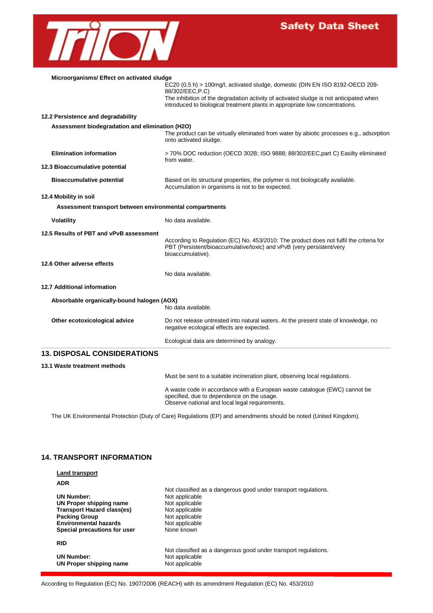

| Microorganisms/ Effect on activated sludge              |                                                                                                                                                                                       |  |  |
|---------------------------------------------------------|---------------------------------------------------------------------------------------------------------------------------------------------------------------------------------------|--|--|
|                                                         | EC20 (0.5 h) > 100mg/l, activated sludge, domestic (DIN EN ISO 8192-OECD 209-                                                                                                         |  |  |
|                                                         | 88/302/EEC, P.C)<br>The inhibition of the degradation activity of activated sludge is not anticipated when                                                                            |  |  |
|                                                         | introduced to biological treatment plants in appropriate low concentrations.                                                                                                          |  |  |
| 12.2 Persistence and degradability                      |                                                                                                                                                                                       |  |  |
| Assessment biodegradation and elimination (H2O)         |                                                                                                                                                                                       |  |  |
|                                                         | The product can be virtually eliminated from water by abiotic processes e.g., adsorption<br>onto activated sludge.                                                                    |  |  |
| <b>Elimination information</b>                          | > 70% DOC reduction (OECD 302B; ISO 9888; 88/302/EEC, part C) Easilty eliminated<br>from water.                                                                                       |  |  |
| 12.3 Bioaccumulative potential                          |                                                                                                                                                                                       |  |  |
| <b>Bioaccumulative potential</b>                        | Based on its structural properties, the polymer is not biologically available.<br>Accumulation in organisms is not to be expected.                                                    |  |  |
| 12.4 Mobility in soil                                   |                                                                                                                                                                                       |  |  |
| Assessment transport between environmental compartments |                                                                                                                                                                                       |  |  |
| <b>Volatility</b>                                       | No data available.                                                                                                                                                                    |  |  |
| 12.5 Results of PBT and vPvB assessment                 |                                                                                                                                                                                       |  |  |
|                                                         | According to Regulation (EC) No. 453/2010: The product does not fulfil the criteria for<br>PBT (Persistent/bioaccumulative/toxic) and vPvB (very persistent/very<br>bioaccumulative). |  |  |
| 12.6 Other adverse effects                              |                                                                                                                                                                                       |  |  |
|                                                         | No data available.                                                                                                                                                                    |  |  |
| 12.7 Additional information                             |                                                                                                                                                                                       |  |  |
| Absorbable organically-bound halogen (AOX)              |                                                                                                                                                                                       |  |  |
|                                                         | No data available.                                                                                                                                                                    |  |  |
| Other ecotoxicological advice                           | Do not release untreated into natural waters. At the present state of knowledge, no<br>negative ecological effects are expected.                                                      |  |  |
|                                                         | Ecological data are determined by analogy.                                                                                                                                            |  |  |
| <b>13. DISPOSAL CONSIDERATIONS</b>                      |                                                                                                                                                                                       |  |  |
| 13.1 Waste treatment methods                            |                                                                                                                                                                                       |  |  |
|                                                         | Must be sent to a suitable incineration plant, observing local regulations.                                                                                                           |  |  |
|                                                         | A waste code in accordance with a European waste catalogue (EWC) cannot be<br>specified, due to dependence on the usage.<br>Observe national and local legal requirements.            |  |  |

The UK Environmental Protection (Duty of Care) Regulations (EP) and amendments should be noted (United Kingdom).

# **14. TRANSPORT INFORMATION**

| <b>Land transport</b>             |                                                                 |
|-----------------------------------|-----------------------------------------------------------------|
| <b>ADR</b>                        |                                                                 |
|                                   | Not classified as a dangerous good under transport regulations. |
| <b>UN Number:</b>                 | Not applicable                                                  |
| UN Proper shipping name           | Not applicable                                                  |
| <b>Transport Hazard class(es)</b> | Not applicable                                                  |
| <b>Packing Group</b>              | Not applicable                                                  |
| <b>Environmental hazards</b>      | Not applicable                                                  |
| Special precautions for user      | None known                                                      |
| <b>RID</b>                        |                                                                 |
|                                   | Not classified as a dangerous good under transport regulations. |
| <b>UN Number:</b>                 | Not applicable                                                  |
| UN Proper shipping name           | Not applicable                                                  |
|                                   |                                                                 |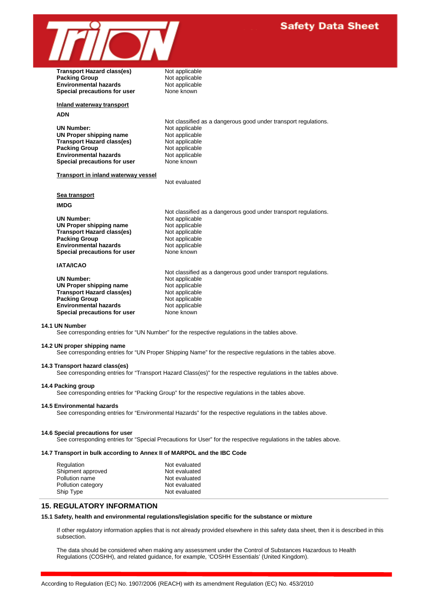

**Transport Hazard class(es)** Not applicable<br> **Packing Group** Not applicable **Packing Group Not applicable**<br> **Environmental hazards Not applicable Environmental hazards** Not applicable<br> **Special precautions for user** None known **Special precautions for user Inland waterway transport ADN** Not classified as a dangerous good under transport regulations. **UN Number:** Not applicable<br> **UN Proper shipping name** Not applicable **UN Proper shipping name Mot applicable<br>
<b>Transport Hazard class(es)** Not applicable **Transport Hazard class(es)** Not applicable<br> **Packing Group** Not applicable **Packing Group**<br> **Environmental hazards**<br>
Not applicable **Environmental hazards** Not applicable Not applicable Special precautions for user **Special precautions for user Transport in inland waterway vessel** Not evaluated **Sea transport IMDG** Not classified as a dangerous good under transport regulations. **UN Number:** Not applicable<br> **UN Proper shipping name** Not applicable **UN Proper shipping name Transport Hazard class(es)** Not applicable<br> **Packing Group** Not applicable **Packing Group Not applicable**<br> **Environmental hazards Not applicable Environmental hazards Special precautions for user** None known **IATA/ICAO** Not classified as a dangerous good under transport regulations. **UN Number:** Not applicable<br> **UN Proper shipping name** Not applicable **UN Proper shipping name** Not applicable<br> **Transport Hazard class(es)** Not applicable **Transport Hazard class(es)** Not applicable<br> **Packing Group** Not applicable **Packing Group**<br> **Environmental hazards**<br>
Not applicable **Environmental hazards Special precautions for user** None known **14.1 UN Number** See corresponding entries for "UN Number" for the respective regulations in the tables above.

#### **14.2 UN proper shipping name**

See corresponding entries for "UN Proper Shipping Name" for the respective regulations in the tables above.

#### **14.3 Transport hazard class(es)**

See corresponding entries for "Transport Hazard Class(es)" for the respective regulations in the tables above.

#### **14.4 Packing group**

See corresponding entries for "Packing Group" for the respective regulations in the tables above.

#### **14.5 Environmental hazards**

See corresponding entries for "Environmental Hazards" for the respective regulations in the tables above.

#### **14.6 Special precautions for user**

See corresponding entries for "Special Precautions for User" for the respective regulations in the tables above.

#### **14.7 Transport in bulk according to Annex II of MARPOL and the IBC Code**

| Regulation         | Not evaluated |
|--------------------|---------------|
| Shipment approved  | Not evaluated |
| Pollution name     | Not evaluated |
| Pollution category | Not evaluated |
| Ship Type          | Not evaluated |

# **15. REGULATORY INFORMATION**

#### **15.1 Safety, health and environmental regulations/legislation specific for the substance or mixture**

If other regulatory information applies that is not already provided elsewhere in this safety data sheet, then it is described in this subsection.

The data should be considered when making any assessment under the Control of Substances Hazardous to Health Regulations (COSHH), and related guidance, for example, 'COSHH Essentials' (United Kingdom).